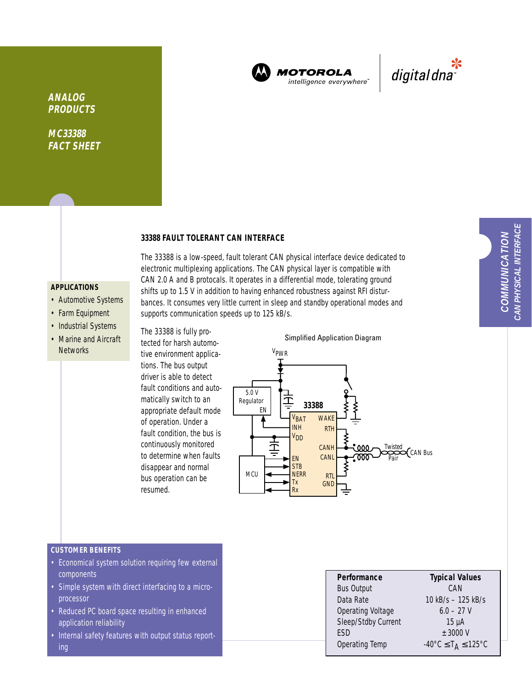

**MOTOROLA** intelligence everywhere"



**ANALOG PRODUCTS**

**MC33388 FACT SHEET**

# **33388 FAULT TOLERANT CAN INTERFACE**

## **APPLICATIONS**

- Automotive Systems
- Farm Equipment
- Industrial Systems • Marine and Aircraft Networks

The 33388 is a low-speed, fault tolerant CAN physical interface device dedicated to electronic multiplexing applications. The CAN physical layer is compatible with CAN 2.0 A and B protocals. It operates in a differential mode, tolerating ground shifts up to 1.5 V in addition to having enhanced robustness against RFI disturbances. It consumes very little current in sleep and standby operational modes and supports communication speeds up to 125 kB/s.

The 33388 is fully protected for harsh automotive environment applications. The bus output driver is able to detect fault conditions and automatically switch to an appropriate default mode of operation. Under a fault condition, the bus is continuously monitored to determine when faults disappear and normal bus operation can be resumed.





## **CUSTOMER BENEFITS**

- Economical system solution requiring few external components
- Simple system with direct interfacing to a microprocessor
- Reduced PC board space resulting in enhanced application reliability
- Internal safety features with output status reporting

| Performance              | <b>Typical Values</b>                                         |
|--------------------------|---------------------------------------------------------------|
| <b>Bus Output</b>        | CAN                                                           |
| Data Rate                | 10 kB/s - 125 kB/s                                            |
| <b>Operating Voltage</b> | $6.0 - 27$ V                                                  |
| Sleep/Stdby Current      | $15 \mu A$                                                    |
| <b>FSD</b>               | $±$ 3000 V                                                    |
| Operating Temp           | $-40^{\circ}$ C $\leq$ T <sub>A</sub> $\leq$ 125 $^{\circ}$ C |
|                          |                                                               |